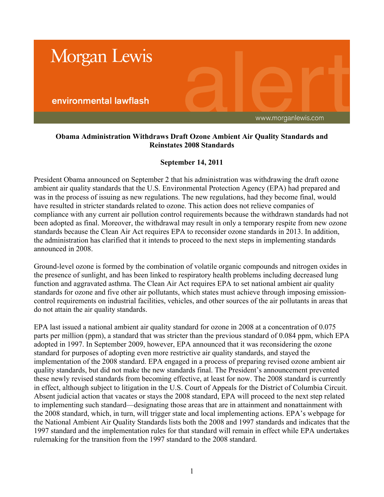

## **Obama Administration Withdraws Draft Ozone Ambient Air Quality Standards and Reinstates 2008 Standards**

## **September 14, 2011**

President Obama announced on September 2 that his administration was withdrawing the draft ozone ambient air quality standards that the U.S. Environmental Protection Agency (EPA) had prepared and was in the process of issuing as new regulations. The new regulations, had they become final, would have resulted in stricter standards related to ozone. This action does not relieve companies of compliance with any current air pollution control requirements because the withdrawn standards had not been adopted as final. Moreover, the withdrawal may result in only a temporary respite from new ozone standards because the Clean Air Act requires EPA to reconsider ozone standards in 2013. In addition, the administration has clarified that it intends to proceed to the next steps in implementing standards announced in 2008.

Ground-level ozone is formed by the combination of volatile organic compounds and nitrogen oxides in the presence of sunlight, and has been linked to respiratory health problems including decreased lung function and aggravated asthma. The Clean Air Act requires EPA to set national ambient air quality standards for ozone and five other air pollutants, which states must achieve through imposing emissioncontrol requirements on industrial facilities, vehicles, and other sources of the air pollutants in areas that do not attain the air quality standards.

EPA last issued a national ambient air quality standard for ozone in 2008 at a concentration of 0.075 parts per million (ppm), a standard that was stricter than the previous standard of 0.084 ppm, which EPA adopted in 1997. In September 2009, however, EPA announced that it was reconsidering the ozone standard for purposes of adopting even more restrictive air quality standards, and stayed the implementation of the 2008 standard. EPA engaged in a process of preparing revised ozone ambient air quality standards, but did not make the new standards final. The President's announcement prevented these newly revised standards from becoming effective, at least for now. The 2008 standard is currently in effect, although subject to litigation in the U.S. Court of Appeals for the District of Columbia Circuit. Absent judicial action that vacates or stays the 2008 standard, EPA will proceed to the next step related to implementing such standard—designating those areas that are in attainment and nonattainment with the 2008 standard, which, in turn, will trigger state and local implementing actions. EPA's webpage for the National Ambient Air Quality Standards lists both the 2008 and 1997 standards and indicates that the 1997 standard and the implementation rules for that standard will remain in effect while EPA undertakes rulemaking for the transition from the 1997 standard to the 2008 standard.